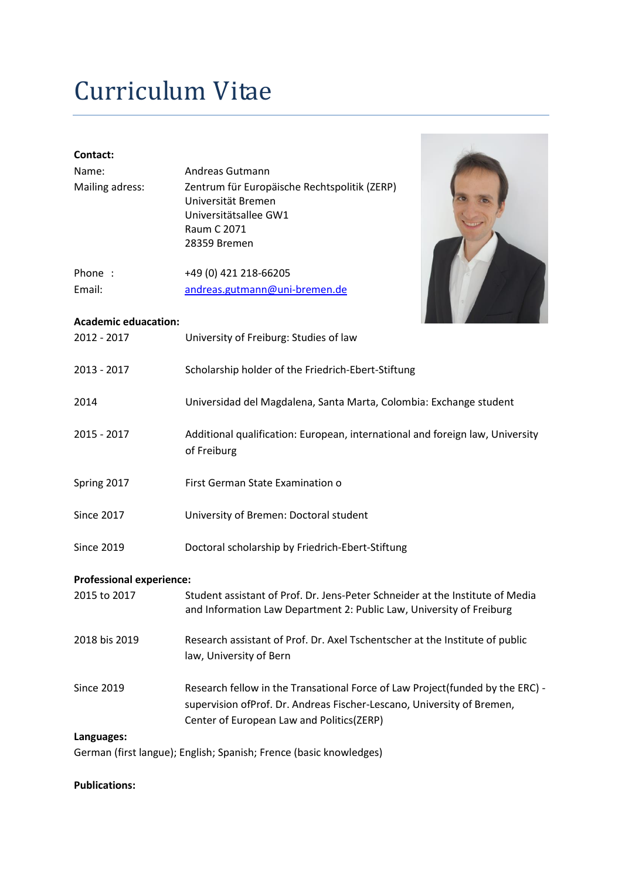## Curriculum Vitae

| Contact:                        |                                                                                                                                                       |
|---------------------------------|-------------------------------------------------------------------------------------------------------------------------------------------------------|
| Name:                           | Andreas Gutmann                                                                                                                                       |
| Mailing adress:                 | Zentrum für Europäische Rechtspolitik (ZERP)<br>Universität Bremen<br>Universitätsallee GW1<br>Raum C 2071                                            |
|                                 | 28359 Bremen                                                                                                                                          |
| Phone :                         | +49 (0) 421 218-66205                                                                                                                                 |
| Email:                          | andreas.gutmann@uni-bremen.de                                                                                                                         |
| <b>Academic eduacation:</b>     |                                                                                                                                                       |
| 2012 - 2017                     | University of Freiburg: Studies of law                                                                                                                |
| 2013 - 2017                     | Scholarship holder of the Friedrich-Ebert-Stiftung                                                                                                    |
| 2014                            | Universidad del Magdalena, Santa Marta, Colombia: Exchange student                                                                                    |
| $2015 - 2017$                   | Additional qualification: European, international and foreign law, University<br>of Freiburg                                                          |
| Spring 2017                     | First German State Examination o                                                                                                                      |
| <b>Since 2017</b>               | University of Bremen: Doctoral student                                                                                                                |
| <b>Since 2019</b>               | Doctoral scholarship by Friedrich-Ebert-Stiftung                                                                                                      |
| <b>Professional experience:</b> |                                                                                                                                                       |
| 2015 to 2017                    | Student assistant of Prof. Dr. Jens-Peter Schneider at the Institute of Media<br>and Information Law Department 2: Public Law, University of Freiburg |
| 2018 bis 2019                   | Research assistant of Prof. Dr. Axel Tschentscher at the Institute of public<br>law, University of Bern                                               |
| <b>Since 2019</b>               | Research fellow in the Transational Force of Law Project(funded by the ERC) -                                                                         |
|                                 | supervision ofProf. Dr. Andreas Fischer-Lescano, University of Bremen,                                                                                |
|                                 | Center of European Law and Politics(ZERP)                                                                                                             |
| Languages:                      |                                                                                                                                                       |
|                                 | German (first langue); English; Spanish; Frence (basic knowledges)                                                                                    |

## **Publications:**